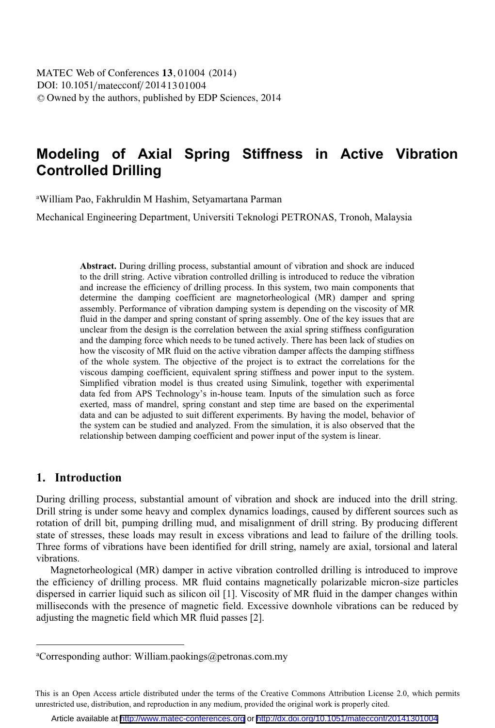DOI: 10.1051/matecconf/20141301004 -<sup>C</sup> Owned by the authors, published by EDP Sciences, 2014 MATEC Web of Conferences **13**, 01004 (2014)

# **Modeling of Axial Spring Stiffness in Active Vibration Controlled Drilling**

a William Pao, Fakhruldin M Hashim, Setyamartana Parman

Mechanical Engineering Department, Universiti Teknologi PETRONAS, Tronoh, Malaysia

**Abstract.** During drilling process, substantial amount of vibration and shock are induced to the drill string. Active vibration controlled drilling is introduced to reduce the vibration and increase the efficiency of drilling process. In this system, two main components that determine the damping coefficient are magnetorheological (MR) damper and spring assembly. Performance of vibration damping system is depending on the viscosity of MR fluid in the damper and spring constant of spring assembly. One of the key issues that are unclear from the design is the correlation between the axial spring stiffness configuration and the damping force which needs to be tuned actively. There has been lack of studies on how the viscosity of MR fluid on the active vibration damper affects the damping stiffness of the whole system. The objective of the project is to extract the correlations for the viscous damping coefficient, equivalent spring stiffness and power input to the system. Simplified vibration model is thus created using Simulink, together with experimental data fed from APS Technology's in-house team. Inputs of the simulation such as force exerted, mass of mandrel, spring constant and step time are based on the experimental data and can be adjusted to suit different experiments. By having the model, behavior of the system can be studied and analyzed. From the simulation, it is also observed that the relationship between damping coefficient and power input of the system is linear.

#### **1. Introduction**

 $\overline{a}$ 

During drilling process, substantial amount of vibration and shock are induced into the drill string. Drill string is under some heavy and complex dynamics loadings, caused by different sources such as rotation of drill bit, pumping drilling mud, and misalignment of drill string. By producing different state of stresses, these loads may result in excess vibrations and lead to failure of the drilling tools. Three forms of vibrations have been identified for drill string, namely are axial, torsional and lateral vibrations.

Magnetorheological (MR) damper in active vibration controlled drilling is introduced to improve the efficiency of drilling process. MR fluid contains magnetically polarizable micron-size particles dispersed in carrier liquid such as silicon oil [1]. Viscosity of MR fluid in the damper changes within milliseconds with the presence of magnetic field. Excessive downhole vibrations can be reduced by adjusting the magnetic field which MR fluid passes [2].

a Corresponding author: William.paokings@petronas.com.my

This is an Open Access article distributed under the terms of the Creative Commons Attribution License 2.0, which permits unrestricted use, distribution, and reproduction in any medium, provided the original work is properly cited.

Article available at <http://www.matec-conferences.org> or <http://dx.doi.org/10.1051/matecconf/20141301004>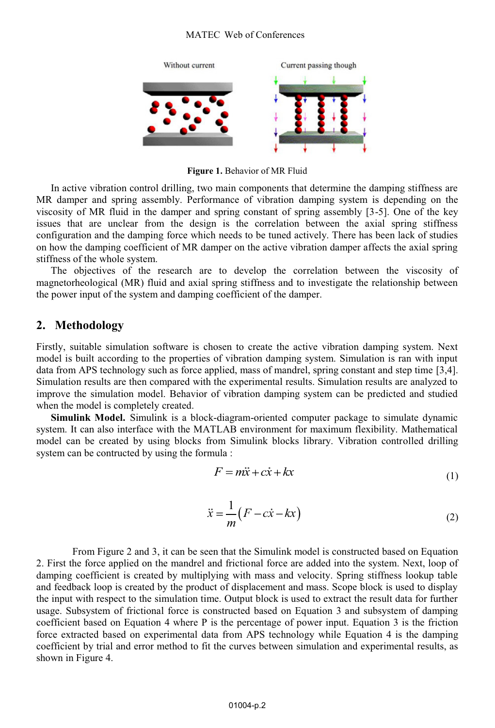#### MATEC Web of Conferences



**Figure 1.** Behavior of MR Fluid

In active vibration control drilling, two main components that determine the damping stiffness are MR damper and spring assembly. Performance of vibration damping system is depending on the viscosity of MR fluid in the damper and spring constant of spring assembly [3-5]. One of the key issues that are unclear from the design is the correlation between the axial spring stiffness configuration and the damping force which needs to be tuned actively. There has been lack of studies on how the damping coefficient of MR damper on the active vibration damper affects the axial spring stiffness of the whole system.

The objectives of the research are to develop the correlation between the viscosity of magnetorheological (MR) fluid and axial spring stiffness and to investigate the relationship between the power input of the system and damping coefficient of the damper.

### **2. Methodology**

Firstly, suitable simulation software is chosen to create the active vibration damping system. Next model is built according to the properties of vibration damping system. Simulation is ran with input data from APS technology such as force applied, mass of mandrel, spring constant and step time [3,4]. Simulation results are then compared with the experimental results. Simulation results are analyzed to improve the simulation model. Behavior of vibration damping system can be predicted and studied when the model is completely created.

**Simulink Model.** Simulink is a block-diagram-oriented computer package to simulate dynamic system. It can also interface with the MATLAB environment for maximum flexibility. Mathematical model can be created by using blocks from Simulink blocks library. Vibration controlled drilling system can be contructed by using the formula :

$$
F = m\ddot{x} + c\dot{x} + kx \tag{1}
$$

$$
\ddot{x} = \frac{1}{m} (F - c\dot{x} - kx)
$$
 (2)

From Figure 2 and 3, it can be seen that the Simulink model is constructed based on Equation 2. First the force applied on the mandrel and frictional force are added into the system. Next, loop of damping coefficient is created by multiplying with mass and velocity. Spring stiffness lookup table and feedback loop is created by the product of displacement and mass. Scope block is used to display the input with respect to the simulation time. Output block is used to extract the result data for further usage. Subsystem of frictional force is constructed based on Equation 3 and subsystem of damping coefficient based on Equation 4 where P is the percentage of power input. Equation 3 is the friction force extracted based on experimental data from APS technology while Equation 4 is the damping coefficient by trial and error method to fit the curves between simulation and experimental results, as shown in Figure 4.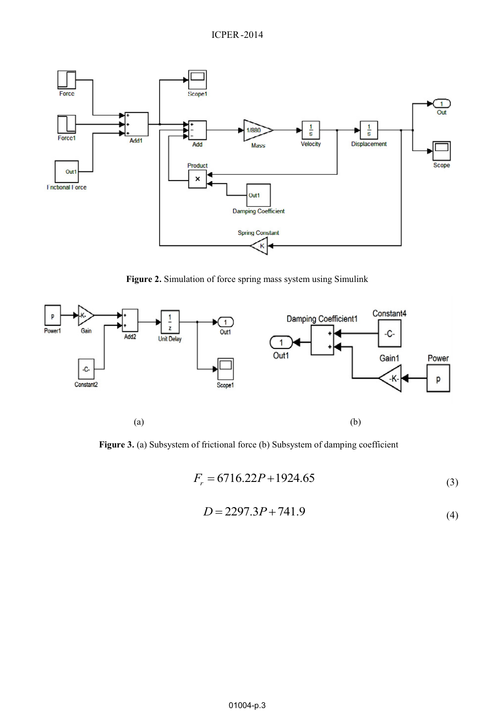

**Figure 2.** Simulation of force spring mass system using Simulink



**Figure 3.** (a) Subsystem of frictional force (b) Subsystem of damping coefficient

$$
F_r = 6716.22P + 1924.65\tag{3}
$$

$$
D = 2297.3P + 741.9\tag{4}
$$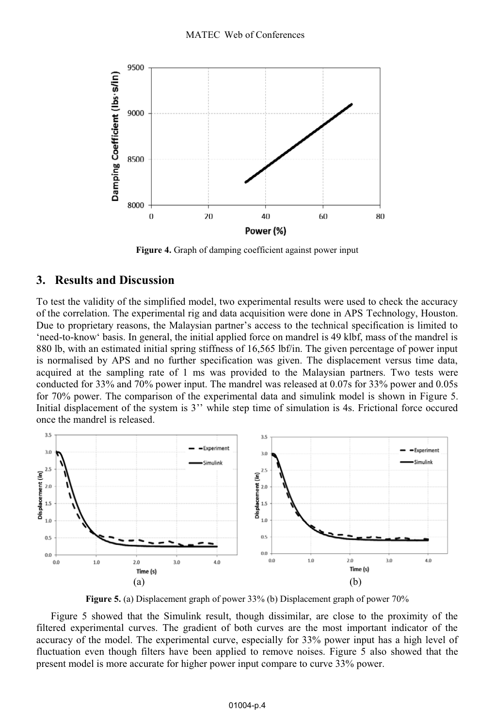

**Figure 4.** Graph of damping coefficient against power input

### **3. Results and Discussion**

To test the validity of the simplified model, two experimental results were used to check the accuracy of the correlation. The experimental rig and data acquisition were done in APS Technology, Houston. Due to proprietary reasons, the Malaysian partner's access to the technical specification is limited to 'need-to-know' basis. In general, the initial applied force on mandrel is 49 klbf, mass of the mandrel is 880 lb, with an estimated initial spring stiffness of 16,565 lbf/in. The given percentage of power input is normalised by APS and no further specification was given. The displacement versus time data, acquired at the sampling rate of 1 ms was provided to the Malaysian partners. Two tests were conducted for 33% and 70% power input. The mandrel was released at 0.07s for 33% power and 0.05s for 70% power. The comparison of the experimental data and simulink model is shown in Figure 5. Initial displacement of the system is 3'' while step time of simulation is 4s. Frictional force occured once the mandrel is released.



**Figure 5.** (a) Displacement graph of power 33% (b) Displacement graph of power 70%

Figure 5 showed that the Simulink result, though dissimilar, are close to the proximity of the filtered experimental curves. The gradient of both curves are the most important indicator of the accuracy of the model. The experimental curve, especially for 33% power input has a high level of fluctuation even though filters have been applied to remove noises. Figure 5 also showed that the present model is more accurate for higher power input compare to curve 33% power.